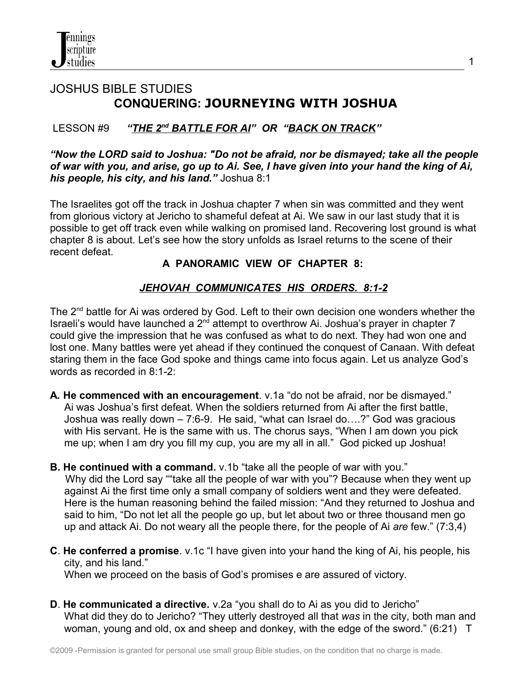# JOSHUS BIBLE STUDIES **CONQUERING: JOURNEYING WITH JOSHUA**

#### **LESSON #9**  *BATTLE FOR AI" OR "BACK ON TRACK"*

#### *"Now the LORD said to Joshua: "Do not be afraid, nor be dismayed; take all the people of war with you, and arise, go up to Ai. See, I have given into your hand the king of Ai, his people, his city, and his land."* Joshua 8:1

The Israelites got off the track in Joshua chapter 7 when sin was committed and they went from glorious victory at Jericho to shameful defeat at Ai. We saw in our last study that it is possible to get off track even while walking on promised land. Recovering lost ground is what chapter 8 is about. Let's see how the story unfolds as Israel returns to the scene of their recent defeat.

## **A PANORAMIC VIEW OF CHAPTER 8:**

## *JEHOVAH COMMUNICATES HIS ORDERS. 8:1-2*

The 2<sup>nd</sup> battle for Ai was ordered by God. Left to their own decision one wonders whether the Israeli's would have launched a 2nd attempt to overthrow Ai. Joshua's prayer in chapter 7 could give the impression that he was confused as what to do next. They had won one and lost one. Many battles were yet ahead if they continued the conquest of Canaan. With defeat staring them in the face God spoke and things came into focus again. Let us analyze God's words as recorded in 8:1-2:

- **A. He commenced with an encouragement**. v.1a "do not be afraid, nor be dismayed." Ai was Joshua's first defeat. When the soldiers returned from Ai after the first battle, Joshua was really down – 7:6-9. He said, "what can Israel do….?" God was gracious with His servant. He is the same with us. The chorus says, "When I am down you pick me up; when I am dry you fill my cup, you are my all in all." God picked up Joshua!
- **B. He continued with a command.** v.1b "take all the people of war with you." Why did the Lord say ""take all the people of war with you"? Because when they went up against Ai the first time only a small company of soldiers went and they were defeated. Here is the human reasoning behind the failed mission: "And they returned to Joshua and said to him, "Do not let all the people go up, but let about two or three thousand men go up and attack Ai. Do not weary all the people there, for the people of Ai *are* few." (7:3,4)
- **C**. **He conferred a promise**. v.1c "I have given into your hand the king of Ai, his people, his city, and his land."

When we proceed on the basis of God's promises e are assured of victory.

**D**. **He communicated a directive.** v.2a "you shall do to Ai as you did to Jericho" What did they do to Jericho? "They utterly destroyed all that *was* in the city, both man and woman, young and old, ox and sheep and donkey, with the edge of the sword." (6:21) T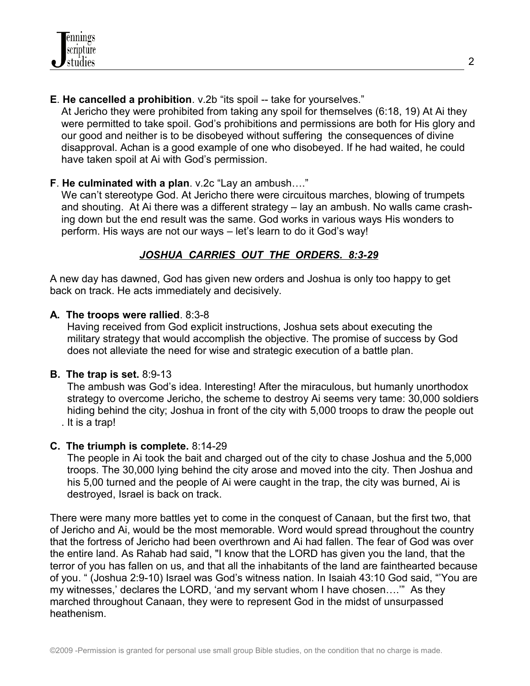**E**. **He cancelled a prohibition**. v.2b "its spoil -- take for yourselves."

 At Jericho they were prohibited from taking any spoil for themselves (6:18, 19) At Ai they were permitted to take spoil. God's prohibitions and permissions are both for His glory and our good and neither is to be disobeyed without suffering the consequences of divine disapproval. Achan is a good example of one who disobeyed. If he had waited, he could have taken spoil at Ai with God's permission.

#### **F**. **He culminated with a plan**. v.2c "Lay an ambush…."

 We can't stereotype God. At Jericho there were circuitous marches, blowing of trumpets and shouting. At Ai there was a different strategy – lay an ambush. No walls came crash ing down but the end result was the same. God works in various ways His wonders to perform. His ways are not our ways – let's learn to do it God's way!

## *JOSHUA CARRIES OUT THE ORDERS. 8:3-29*

A new day has dawned, God has given new orders and Joshua is only too happy to get back on track. He acts immediately and decisively.

#### **A. The troops were rallied**. 8:3-8

 Having received from God explicit instructions, Joshua sets about executing the military strategy that would accomplish the objective. The promise of success by God does not alleviate the need for wise and strategic execution of a battle plan.

## **B. The trap is set.** 8:9-13

 The ambush was God's idea. Interesting! After the miraculous, but humanly unorthodox strategy to overcome Jericho, the scheme to destroy Ai seems very tame: 30,000 soldiers hiding behind the city; Joshua in front of the city with 5,000 troops to draw the people out . It is a trap!

## **C. The triumph is complete.** 8:14-29

 The people in Ai took the bait and charged out of the city to chase Joshua and the 5,000 troops. The 30,000 lying behind the city arose and moved into the city. Then Joshua and his 5,00 turned and the people of Ai were caught in the trap, the city was burned, Ai is destroyed, Israel is back on track.

There were many more battles yet to come in the conquest of Canaan, but the first two, that of Jericho and Ai, would be the most memorable. Word would spread throughout the country that the fortress of Jericho had been overthrown and Ai had fallen. The fear of God was over the entire land. As Rahab had said, "I know that the LORD has given you the land, that the terror of you has fallen on us, and that all the inhabitants of the land are fainthearted because of you. " (Joshua 2:9-10) Israel was God's witness nation. In Isaiah 43:10 God said, "'You are my witnesses,' declares the LORD, 'and my servant whom I have chosen….'" As they marched throughout Canaan, they were to represent God in the midst of unsurpassed heathenism.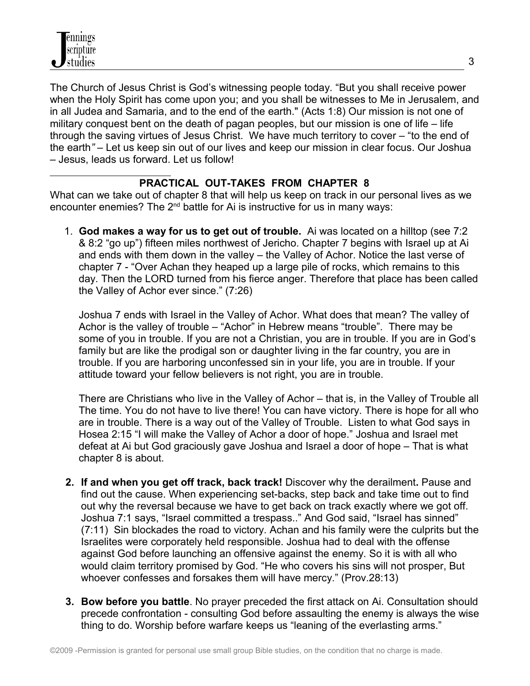The Church of Jesus Christ is God's witnessing people today. "But you shall receive power when the Holy Spirit has come upon you; and you shall be witnesses to Me in Jerusalem, and in all Judea and Samaria, and to the end of the earth." (Acts 1:8) Our mission is not one of military conquest bent on the death of pagan peoples, but our mission is one of life – life through the saving virtues of Jesus Christ. We have much territory to cover – "to the end of the earth*"* – Let us keep sin out of our lives and keep our mission in clear focus. Our Joshua – Jesus, leads us forward. Let us follow!

#### **PRACTICAL OUT-TAKES FROM CHAPTER 8**

What can we take out of chapter 8 that will help us keep on track in our personal lives as we encounter enemies? The 2<sup>nd</sup> battle for Ai is instructive for us in many ways:

 1. **God makes a way for us to get out of trouble.** Ai was located on a hilltop (see 7:2 & 8:2 "go up") fifteen miles northwest of Jericho. Chapter 7 begins with Israel up at Ai and ends with them down in the valley – the Valley of Achor. Notice the last verse of chapter 7 - "Over Achan they heaped up a large pile of rocks, which remains to this day. Then the LORD turned from his fierce anger. Therefore that place has been called the Valley of Achor ever since." (7:26)

 Joshua 7 ends with Israel in the Valley of Achor. What does that mean? The valley of Achor is the valley of trouble – "Achor" in Hebrew means "trouble". There may be some of you in trouble. If you are not a Christian, you are in trouble. If you are in God's family but are like the prodigal son or daughter living in the far country, you are in trouble. If you are harboring unconfessed sin in your life, you are in trouble. If your attitude toward your fellow believers is not right, you are in trouble.

 There are Christians who live in the Valley of Achor – that is, in the Valley of Trouble all The time. You do not have to live there! You can have victory. There is hope for all who are in trouble. There is a way out of the Valley of Trouble. Listen to what God says in Hosea 2:15 "I will make the Valley of Achor a door of hope." Joshua and Israel met defeat at Ai but God graciously gave Joshua and Israel a door of hope – That is what chapter 8 is about.

- **2. If and when you get off track, back track!** Discover why the derailment**.** Pause and find out the cause. When experiencing set-backs, step back and take time out to find out why the reversal because we have to get back on track exactly where we got off. Joshua 7:1 says, "Israel committed a trespass.." And God said, "Israel has sinned" (7:11) Sin blockades the road to victory. Achan and his family were the culprits but the Israelites were corporately held responsible. Joshua had to deal with the offense against God before launching an offensive against the enemy. So it is with all who would claim territory promised by God. "He who covers his sins will not prosper, But whoever confesses and forsakes them will have mercy." (Prov.28:13)
- **3. Bow before you battle**. No prayer preceded the first attack on Ai. Consultation should precede confrontation - consulting God before assaulting the enemy is always the wise thing to do. Worship before warfare keeps us "leaning of the everlasting arms."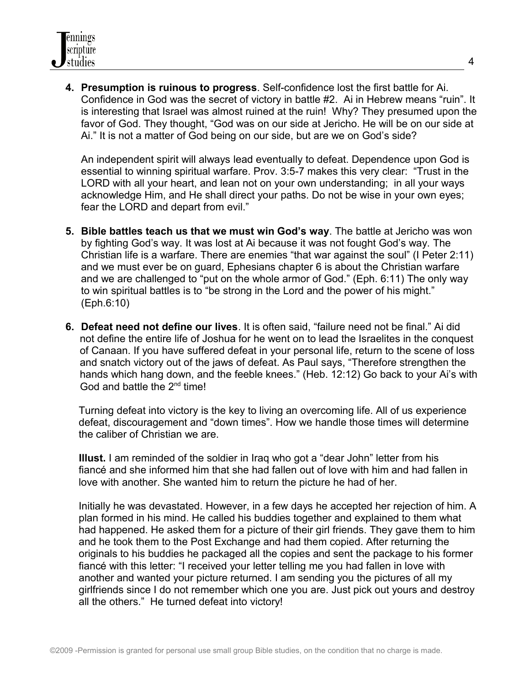**4. Presumption is ruinous to progress**. Self-confidence lost the first battle for Ai. Confidence in God was the secret of victory in battle #2. Ai in Hebrew means "ruin". It is interesting that Israel was almost ruined at the ruin! Why? They presumed upon the favor of God. They thought, "God was on our side at Jericho. He will be on our side at Ai." It is not a matter of God being on our side, but are we on God's side?

An independent spirit will always lead eventually to defeat. Dependence upon God is essential to winning spiritual warfare. Prov. 3:5-7 makes this very clear: "Trust in the LORD with all your heart, and lean not on your own understanding; in all your ways acknowledge Him, and He shall direct your paths. Do not be wise in your own eyes; fear the LORD and depart from evil."

- **5. Bible battles teach us that we must win God's way**. The battle at Jericho was won by fighting God's way. It was lost at Ai because it was not fought God's way. The Christian life is a warfare. There are enemies "that war against the soul" (I Peter 2:11) and we must ever be on guard, Ephesians chapter 6 is about the Christian warfare and we are challenged to "put on the whole armor of God." (Eph. 6:11) The only way to win spiritual battles is to "be strong in the Lord and the power of his might." (Eph.6:10)
- **6. Defeat need not define our lives**. It is often said, "failure need not be final." Ai did not define the entire life of Joshua for he went on to lead the Israelites in the conquest of Canaan. If you have suffered defeat in your personal life, return to the scene of loss and snatch victory out of the jaws of defeat. As Paul says, "Therefore strengthen the hands which hang down, and the feeble knees." (Heb. 12:12) Go back to your Ai's with God and battle the 2<sup>nd</sup> time!

 Turning defeat into victory is the key to living an overcoming life. All of us experience defeat, discouragement and "down times". How we handle those times will determine the caliber of Christian we are.

 **Illust.** I am reminded of the soldier in Iraq who got a "dear John" letter from his fiancé and she informed him that she had fallen out of love with him and had fallen in love with another. She wanted him to return the picture he had of her.

 Initially he was devastated. However, in a few days he accepted her rejection of him. A plan formed in his mind. He called his buddies together and explained to them what had happened. He asked them for a picture of their girl friends. They gave them to him and he took them to the Post Exchange and had them copied. After returning the originals to his buddies he packaged all the copies and sent the package to his former fiancé with this letter: "I received your letter telling me you had fallen in love with another and wanted your picture returned. I am sending you the pictures of all my girlfriends since I do not remember which one you are. Just pick out yours and destroy all the others." He turned defeat into victory!